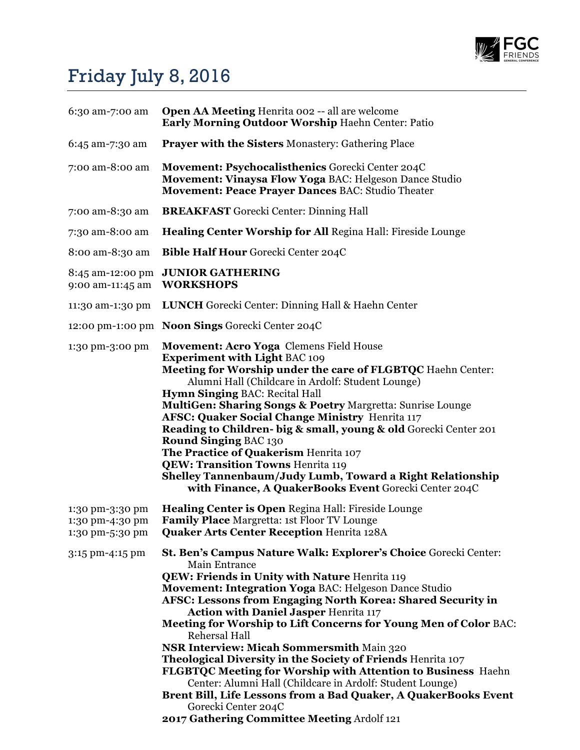

## Friday July 8, 2016

| 6:30 am-7:00 am                                       | <b>Open AA Meeting Henrita 002 -- all are welcome</b><br>Early Morning Outdoor Worship Haehn Center: Patio                                                                                                                                                                                                                                                                                                                                                                                                                                                                                                                                                                                                                                                                                            |
|-------------------------------------------------------|-------------------------------------------------------------------------------------------------------------------------------------------------------------------------------------------------------------------------------------------------------------------------------------------------------------------------------------------------------------------------------------------------------------------------------------------------------------------------------------------------------------------------------------------------------------------------------------------------------------------------------------------------------------------------------------------------------------------------------------------------------------------------------------------------------|
| 6:45 am-7:30 am                                       | <b>Prayer with the Sisters Monastery: Gathering Place</b>                                                                                                                                                                                                                                                                                                                                                                                                                                                                                                                                                                                                                                                                                                                                             |
| 7:00 am-8:00 am                                       | Movement: Psychocalisthenics Gorecki Center 204C<br>Movement: Vinaysa Flow Yoga BAC: Helgeson Dance Studio<br>Movement: Peace Prayer Dances BAC: Studio Theater                                                                                                                                                                                                                                                                                                                                                                                                                                                                                                                                                                                                                                       |
| 7:00 am-8:30 am                                       | <b>BREAKFAST</b> Gorecki Center: Dinning Hall                                                                                                                                                                                                                                                                                                                                                                                                                                                                                                                                                                                                                                                                                                                                                         |
| 7:30 am-8:00 am                                       | Healing Center Worship for All Regina Hall: Fireside Lounge                                                                                                                                                                                                                                                                                                                                                                                                                                                                                                                                                                                                                                                                                                                                           |
| 8:00 am-8:30 am                                       | <b>Bible Half Hour Gorecki Center 204C</b>                                                                                                                                                                                                                                                                                                                                                                                                                                                                                                                                                                                                                                                                                                                                                            |
| 8:45 am-12:00 pm<br>9:00 am-11:45 am                  | <b>JUNIOR GATHERING</b><br><b>WORKSHOPS</b>                                                                                                                                                                                                                                                                                                                                                                                                                                                                                                                                                                                                                                                                                                                                                           |
| 11:30 am-1:30 pm                                      | <b>LUNCH</b> Gorecki Center: Dinning Hall & Haehn Center                                                                                                                                                                                                                                                                                                                                                                                                                                                                                                                                                                                                                                                                                                                                              |
|                                                       | 12:00 pm-1:00 pm Noon Sings Gorecki Center 204C                                                                                                                                                                                                                                                                                                                                                                                                                                                                                                                                                                                                                                                                                                                                                       |
| 1:30 pm-3:00 pm                                       | Movement: Acro Yoga Clemens Field House<br><b>Experiment with Light BAC 109</b><br>Meeting for Worship under the care of FLGBTQC Haehn Center:<br>Alumni Hall (Childcare in Ardolf: Student Lounge)<br><b>Hymn Singing BAC: Recital Hall</b><br><b>MultiGen: Sharing Songs &amp; Poetry Margretta: Sunrise Lounge</b><br><b>AFSC: Quaker Social Change Ministry Henrita 117</b><br>Reading to Children- big & small, young & old Gorecki Center 201<br><b>Round Singing BAC 130</b><br>The Practice of Quakerism Henrita 107<br><b>QEW: Transition Towns Henrita 119</b><br>Shelley Tannenbaum/Judy Lumb, Toward a Right Relationship<br>with Finance, A QuakerBooks Event Gorecki Center 204C                                                                                                        |
| 1:30 pm-3:30 pm<br>1:30 pm-4:30 pm<br>1:30 pm-5:30 pm | <b>Healing Center is Open Regina Hall: Fireside Lounge</b><br><b>Family Place Margretta: 1st Floor TV Lounge</b><br><b>Quaker Arts Center Reception Henrita 128A</b>                                                                                                                                                                                                                                                                                                                                                                                                                                                                                                                                                                                                                                  |
| 3:15 pm-4:15 pm                                       | St. Ben's Campus Nature Walk: Explorer's Choice Gorecki Center:<br>Main Entrance<br><b>QEW: Friends in Unity with Nature Henrita 119</b><br>Movement: Integration Yoga BAC: Helgeson Dance Studio<br><b>AFSC: Lessons from Engaging North Korea: Shared Security in</b><br><b>Action with Daniel Jasper Henrita 117</b><br>Meeting for Worship to Lift Concerns for Young Men of Color BAC:<br>Rehersal Hall<br><b>NSR Interview: Micah Sommersmith Main 320</b><br>Theological Diversity in the Society of Friends Henrita 107<br>FLGBTQC Meeting for Worship with Attention to Business Haehn<br>Center: Alumni Hall (Childcare in Ardolf: Student Lounge)<br>Brent Bill, Life Lessons from a Bad Quaker, A QuakerBooks Event<br>Gorecki Center 204C<br>2017 Gathering Committee Meeting Ardolf 121 |